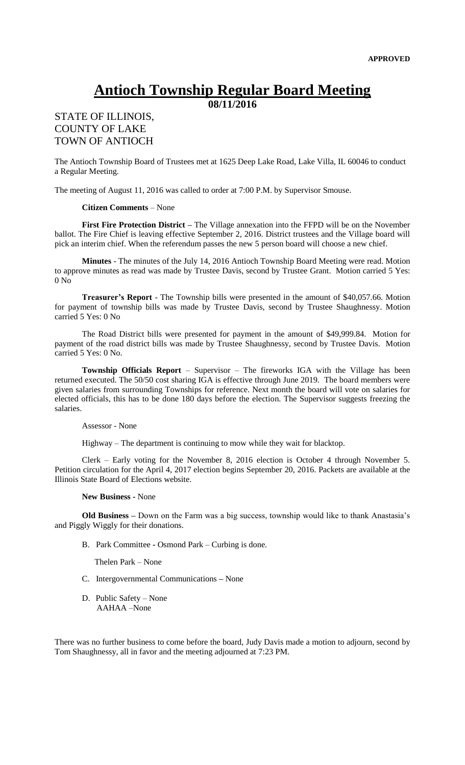# **Antioch Township Regular Board Meeting**

**08/11/2016**

## STATE OF ILLINOIS, COUNTY OF LAKE TOWN OF ANTIOCH

The Antioch Township Board of Trustees met at 1625 Deep Lake Road, Lake Villa, IL 60046 to conduct a Regular Meeting.

The meeting of August 11, 2016 was called to order at 7:00 P.M. by Supervisor Smouse.

#### **Citizen Comments** – None

**First Fire Protection District –** The Village annexation into the FFPD will be on the November ballot. The Fire Chief is leaving effective September 2, 2016. District trustees and the Village board will pick an interim chief. When the referendum passes the new 5 person board will choose a new chief.

**Minutes** - The minutes of the July 14, 2016 Antioch Township Board Meeting were read. Motion to approve minutes as read was made by Trustee Davis, second by Trustee Grant. Motion carried 5 Yes: 0 No

**Treasurer's Report** - The Township bills were presented in the amount of \$40,057.66. Motion for payment of township bills was made by Trustee Davis, second by Trustee Shaughnessy. Motion carried 5 Yes: 0 No

The Road District bills were presented for payment in the amount of \$49,999.84. Motion for payment of the road district bills was made by Trustee Shaughnessy, second by Trustee Davis. Motion carried 5 Yes: 0 No.

**Township Officials Report** – Supervisor – The fireworks IGA with the Village has been returned executed. The 50/50 cost sharing IGA is effective through June 2019. The board members were given salaries from surrounding Townships for reference. Next month the board will vote on salaries for elected officials, this has to be done 180 days before the election. The Supervisor suggests freezing the salaries.

#### Assessor - None

Highway – The department is continuing to mow while they wait for blacktop.

Clerk – Early voting for the November 8, 2016 election is October 4 through November 5. Petition circulation for the April 4, 2017 election begins September 20, 2016. Packets are available at the Illinois State Board of Elections website.

### **New Business -** None

**Old Business –** Down on the Farm was a big success, township would like to thank Anastasia's and Piggly Wiggly for their donations.

B. Park Committee **-** Osmond Park – Curbing is done.

Thelen Park – None

- C. Intergovernmental Communications **–** None
- D. Public Safety None AAHAA –None

There was no further business to come before the board, Judy Davis made a motion to adjourn, second by Tom Shaughnessy, all in favor and the meeting adjourned at 7:23 PM.